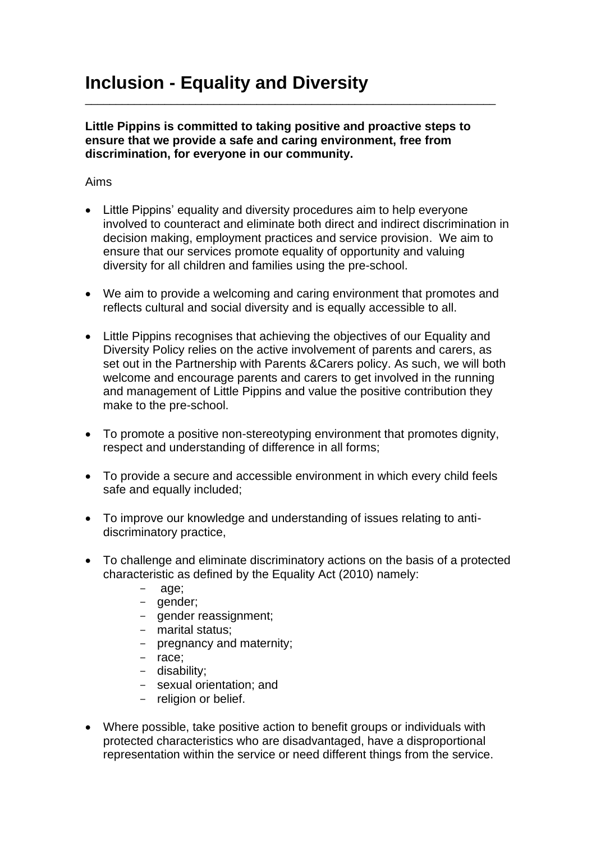**Little Pippins is committed to taking positive and proactive steps to ensure that we provide a safe and caring environment, free from discrimination, for everyone in our community.** 

\_\_\_\_\_\_\_\_\_\_\_\_\_\_\_\_\_\_\_\_\_\_\_\_\_\_\_\_\_\_\_\_\_\_\_\_\_\_\_\_\_\_\_\_\_\_\_\_\_\_\_\_\_\_\_\_\_\_\_\_\_\_\_\_\_\_\_

Aims

- Little Pippins' equality and diversity procedures aim to help everyone involved to counteract and eliminate both direct and indirect discrimination in decision making, employment practices and service provision. We aim to ensure that our services promote equality of opportunity and valuing diversity for all children and families using the pre-school.
- We aim to provide a welcoming and caring environment that promotes and reflects cultural and social diversity and is equally accessible to all.
- Little Pippins recognises that achieving the objectives of our Equality and Diversity Policy relies on the active involvement of parents and carers, as set out in the Partnership with Parents &Carers policy. As such, we will both welcome and encourage parents and carers to get involved in the running and management of Little Pippins and value the positive contribution they make to the pre-school.
- To promote a positive non-stereotyping environment that promotes dignity, respect and understanding of difference in all forms;
- To provide a secure and accessible environment in which every child feels safe and equally included;
- To improve our knowledge and understanding of issues relating to antidiscriminatory practice,
- To challenge and eliminate discriminatory actions on the basis of a protected characteristic as defined by the Equality Act (2010) namely:
	- age;
	- gender;
	- gender reassignment;
	- marital status;
	- pregnancy and maternity;
	- race;
	- disability;
	- sexual orientation; and
	- religion or belief.
- Where possible, take positive action to benefit groups or individuals with protected characteristics who are disadvantaged, have a disproportional representation within the service or need different things from the service.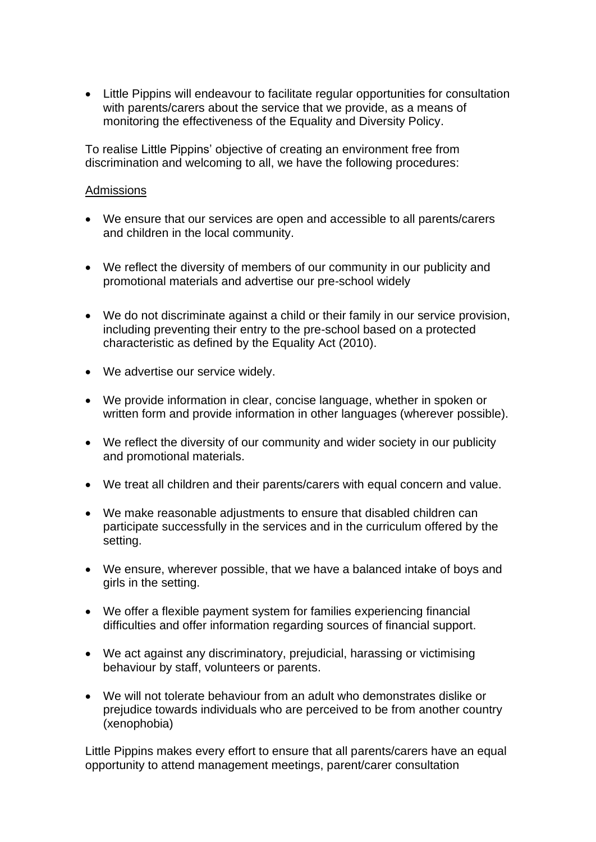• Little Pippins will endeavour to facilitate regular opportunities for consultation with parents/carers about the service that we provide, as a means of monitoring the effectiveness of the Equality and Diversity Policy.

To realise Little Pippins' objective of creating an environment free from discrimination and welcoming to all, we have the following procedures:

## Admissions

- We ensure that our services are open and accessible to all parents/carers and children in the local community.
- We reflect the diversity of members of our community in our publicity and promotional materials and advertise our pre-school widely
- We do not discriminate against a child or their family in our service provision, including preventing their entry to the pre-school based on a protected characteristic as defined by the Equality Act (2010).
- We advertise our service widely.
- We provide information in clear, concise language, whether in spoken or written form and provide information in other languages (wherever possible).
- We reflect the diversity of our community and wider society in our publicity and promotional materials.
- We treat all children and their parents/carers with equal concern and value.
- We make reasonable adjustments to ensure that disabled children can participate successfully in the services and in the curriculum offered by the setting.
- We ensure, wherever possible, that we have a balanced intake of boys and girls in the setting.
- We offer a flexible payment system for families experiencing financial difficulties and offer information regarding sources of financial support.
- We act against any discriminatory, prejudicial, harassing or victimising behaviour by staff, volunteers or parents.
- We will not tolerate behaviour from an adult who demonstrates dislike or prejudice towards individuals who are perceived to be from another country (xenophobia)

Little Pippins makes every effort to ensure that all parents/carers have an equal opportunity to attend management meetings, parent/carer consultation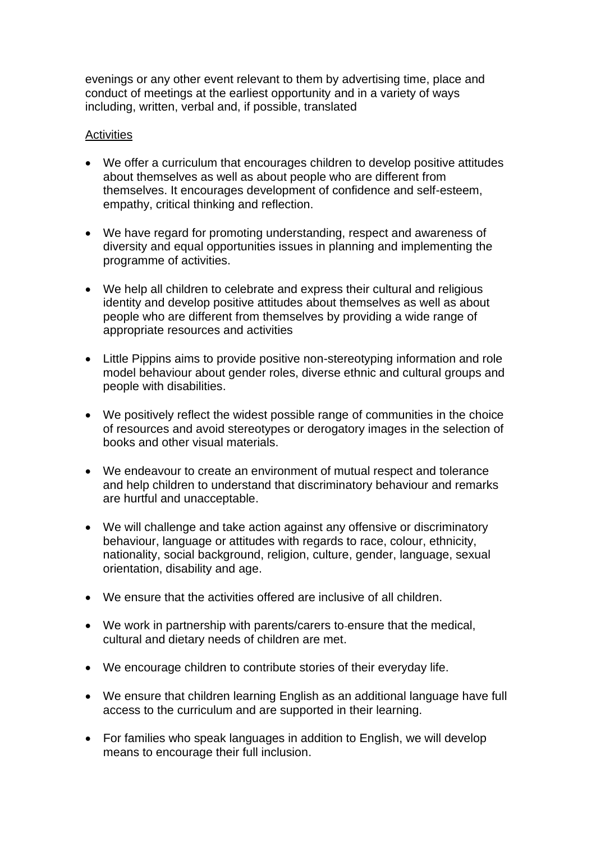evenings or any other event relevant to them by advertising time, place and conduct of meetings at the earliest opportunity and in a variety of ways including, written, verbal and, if possible, translated

## **Activities**

- We offer a curriculum that encourages children to develop positive attitudes about themselves as well as about people who are different from themselves. It encourages development of confidence and self-esteem, empathy, critical thinking and reflection.
- We have regard for promoting understanding, respect and awareness of diversity and equal opportunities issues in planning and implementing the programme of activities.
- We help all children to celebrate and express their cultural and religious identity and develop positive attitudes about themselves as well as about people who are different from themselves by providing a wide range of appropriate resources and activities
- Little Pippins aims to provide positive non-stereotyping information and role model behaviour about gender roles, diverse ethnic and cultural groups and people with disabilities.
- We positively reflect the widest possible range of communities in the choice of resources and avoid stereotypes or derogatory images in the selection of books and other visual materials.
- We endeavour to create an environment of mutual respect and tolerance and help children to understand that discriminatory behaviour and remarks are hurtful and unacceptable.
- We will challenge and take action against any offensive or discriminatory behaviour, language or attitudes with regards to race, colour, ethnicity, nationality, social background, religion, culture, gender, language, sexual orientation, disability and age.
- We ensure that the activities offered are inclusive of all children.
- We work in partnership with parents/carers to ensure that the medical, cultural and dietary needs of children are met.
- We encourage children to contribute stories of their everyday life.
- We ensure that children learning English as an additional language have full access to the curriculum and are supported in their learning.
- For families who speak languages in addition to English, we will develop means to encourage their full inclusion.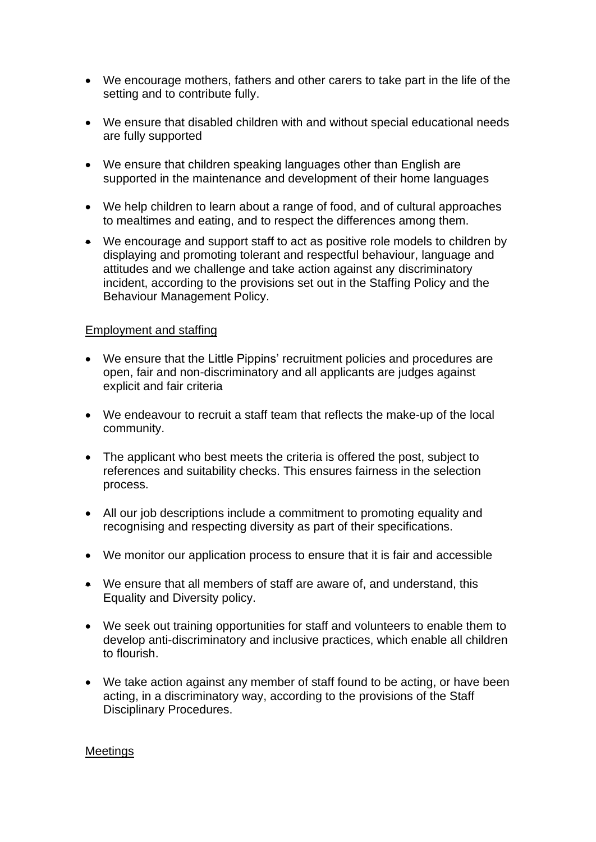- We encourage mothers, fathers and other carers to take part in the life of the setting and to contribute fully.
- We ensure that disabled children with and without special educational needs are fully supported
- We ensure that children speaking languages other than English are supported in the maintenance and development of their home languages
- We help children to learn about a range of food, and of cultural approaches to mealtimes and eating, and to respect the differences among them.
- We encourage and support staff to act as positive role models to children by displaying and promoting tolerant and respectful behaviour, language and attitudes and we challenge and take action against any discriminatory incident, according to the provisions set out in the Staffing Policy and the Behaviour Management Policy.

## Employment and staffing

- We ensure that the Little Pippins' recruitment policies and procedures are open, fair and non-discriminatory and all applicants are judges against explicit and fair criteria
- We endeavour to recruit a staff team that reflects the make-up of the local community.
- The applicant who best meets the criteria is offered the post, subject to references and suitability checks. This ensures fairness in the selection process.
- All our job descriptions include a commitment to promoting equality and recognising and respecting diversity as part of their specifications.
- We monitor our application process to ensure that it is fair and accessible
- We ensure that all members of staff are aware of, and understand, this Equality and Diversity policy.
- We seek out training opportunities for staff and volunteers to enable them to develop anti-discriminatory and inclusive practices, which enable all children to flourish.
- We take action against any member of staff found to be acting, or have been acting, in a discriminatory way, according to the provisions of the Staff Disciplinary Procedures.

## Meetings